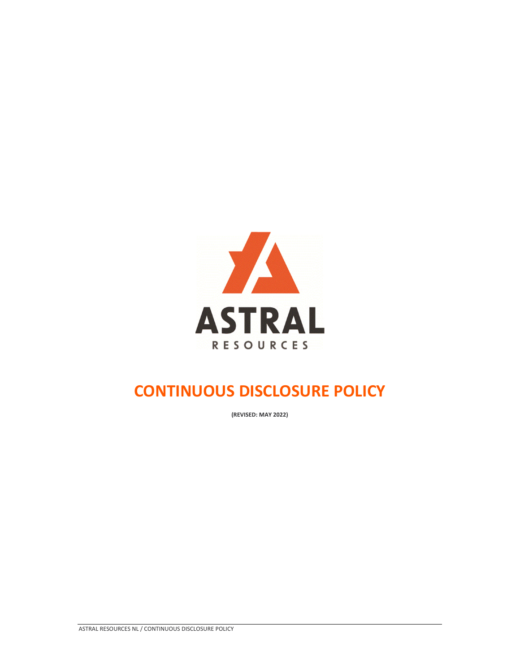

## **CONTINUOUS DISCLOSURE POLICY**

**(REVISED: MAY 2022)**